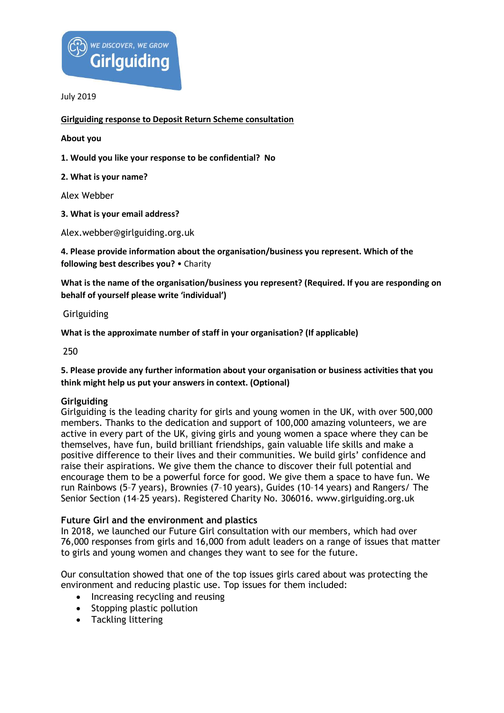

**Girlguiding response to Deposit Return Scheme consultation**

**About you** 

**1. Would you like your response to be confidential? No** 

**2. What is your name?** 

Alex Webber

**3. What is your email address?** 

Alex.webber@girlguiding.org.uk

**4. Please provide information about the organisation/business you represent. Which of the following best describes you?** • Charity

**What is the name of the organisation/business you represent? (Required. If you are responding on behalf of yourself please write 'individual')** 

**Girlguiding** 

**What is the approximate number of staff in your organisation? (If applicable)** 

250

**5. Please provide any further information about your organisation or business activities that you think might help us put your answers in context. (Optional)** 

## **Girlguiding**

Girlguiding is the leading charity for girls and young women in the UK, with over 500,000 members. Thanks to the dedication and support of 100,000 amazing volunteers, we are active in every part of the UK, giving girls and young women a space where they can be themselves, have fun, build brilliant friendships, gain valuable life skills and make a positive difference to their lives and their communities. We build girls' confidence and raise their aspirations. We give them the chance to discover their full potential and encourage them to be a powerful force for good. We give them a space to have fun. We run Rainbows (5–7 years), Brownies (7–10 years), Guides (10–14 years) and Rangers/ The Senior Section (14–25 years). Registered Charity No. 306016. www.girlguiding.org.uk

## **Future Girl and the environment and plastics**

In 2018, we launched our Future Girl consultation with our members, which had over 76,000 responses from girls and 16,000 from adult leaders on a range of issues that matter to girls and young women and changes they want to see for the future.

Our consultation showed that one of the top issues girls cared about was protecting the environment and reducing plastic use. Top issues for them included:

- Increasing recycling and reusing
- Stopping plastic pollution
- Tackling littering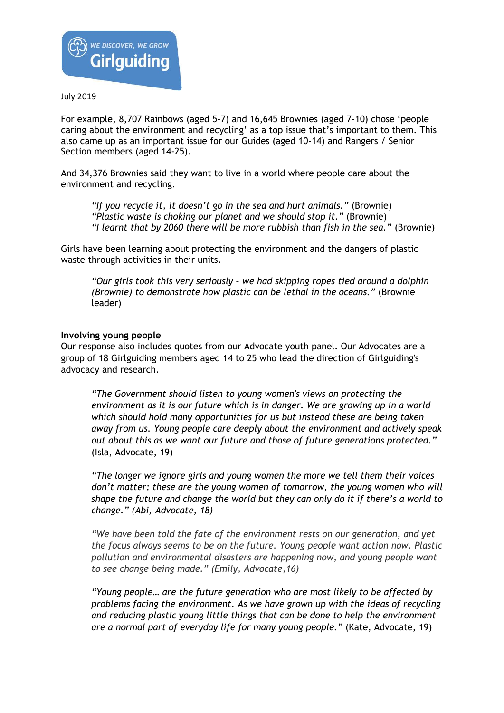

For example, 8,707 Rainbows (aged 5-7) and 16,645 Brownies (aged 7-10) chose 'people caring about the environment and recycling' as a top issue that's important to them. This also came up as an important issue for our Guides (aged 10-14) and Rangers / Senior Section members (aged 14-25).

And 34,376 Brownies said they want to live in a world where people care about the environment and recycling.

*"If you recycle it, it doesn't go in the sea and hurt animals."* (Brownie) *"Plastic waste is choking our planet and we should stop it."* (Brownie) *"I learnt that by 2060 there will be more rubbish than fish in the sea."* (Brownie)

Girls have been learning about protecting the environment and the dangers of plastic waste through activities in their units.

*"Our girls took this very seriously – we had skipping ropes tied around a dolphin (Brownie) to demonstrate how plastic can be lethal in the oceans."* (Brownie leader)

#### **Involving young people**

Our response also includes quotes from our Advocate youth panel. Our Advocates are a group of 18 Girlguiding members aged 14 to 25 who lead the direction of Girlguiding's advocacy and research.

*"The Government should listen to young women's views on protecting the environment as it is our future which is in danger. We are growing up in a world which should hold many opportunities for us but instead these are being taken away from us. Young people care deeply about the environment and actively speak out about this as we want our future and those of future generations protected."* (Isla, Advocate, 19)

*"The longer we ignore girls and young women the more we tell them their voices don't matter; these are the young women of tomorrow, the young women who will shape the future and change the world but they can only do it if there's a world to change." (Abi, Advocate, 18)*

*"We have been told the fate of the environment rests on our generation, and yet the focus always seems to be on the future. Young people want action now. Plastic pollution and environmental disasters are happening now, and young people want to see change being made." (Emily, Advocate,16)*

*"Young people… are the future generation who are most likely to be affected by problems facing the environment. As we have grown up with the ideas of recycling and reducing plastic young little things that can be done to help the environment are a normal part of everyday life for many young people."* (Kate, Advocate, 19)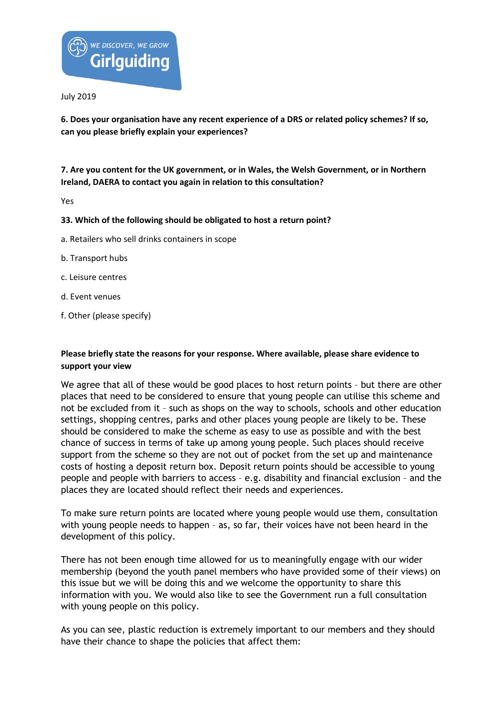

**6. Does your organisation have any recent experience of a DRS or related policy schemes? If so, can you please briefly explain your experiences?** 

**7. Are you content for the UK government, or in Wales, the Welsh Government, or in Northern Ireland, DAERA to contact you again in relation to this consultation?** 

Yes

### **33. Which of the following should be obligated to host a return point?**

- a. Retailers who sell drinks containers in scope
- b. Transport hubs
- c. Leisure centres
- d. Event venues
- f. Other (please specify)

## **Please briefly state the reasons for your response. Where available, please share evidence to support your view**

We agree that all of these would be good places to host return points – but there are other places that need to be considered to ensure that young people can utilise this scheme and not be excluded from it – such as shops on the way to schools, schools and other education settings, shopping centres, parks and other places young people are likely to be. These should be considered to make the scheme as easy to use as possible and with the best chance of success in terms of take up among young people. Such places should receive support from the scheme so they are not out of pocket from the set up and maintenance costs of hosting a deposit return box. Deposit return points should be accessible to young people and people with barriers to access – e.g. disability and financial exclusion – and the places they are located should reflect their needs and experiences.

To make sure return points are located where young people would use them, consultation with young people needs to happen – as, so far, their voices have not been heard in the development of this policy.

There has not been enough time allowed for us to meaningfully engage with our wider membership (beyond the youth panel members who have provided some of their views) on this issue but we will be doing this and we welcome the opportunity to share this information with you. We would also like to see the Government run a full consultation with young people on this policy.

As you can see, plastic reduction is extremely important to our members and they should have their chance to shape the policies that affect them: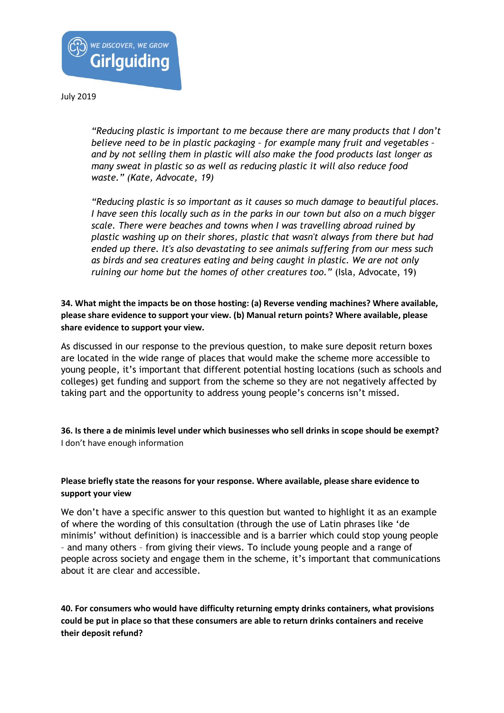

*"Reducing plastic is important to me because there are many products that I don't believe need to be in plastic packaging – for example many fruit and vegetables – and by not selling them in plastic will also make the food products last longer as many sweat in plastic so as well as reducing plastic it will also reduce food waste." (Kate, Advocate, 19)*

*"Reducing plastic is so important as it causes so much damage to beautiful places. I have seen this locally such as in the parks in our town but also on a much bigger scale. There were beaches and towns when I was travelling abroad ruined by plastic washing up on their shores, plastic that wasn't always from there but had ended up there. It's also devastating to see animals suffering from our mess such as birds and sea creatures eating and being caught in plastic. We are not only ruining our home but the homes of other creatures too."* (Isla, Advocate, 19)

**34. What might the impacts be on those hosting: (a) Reverse vending machines? Where available, please share evidence to support your view. (b) Manual return points? Where available, please share evidence to support your view.** 

As discussed in our response to the previous question, to make sure deposit return boxes are located in the wide range of places that would make the scheme more accessible to young people, it's important that different potential hosting locations (such as schools and colleges) get funding and support from the scheme so they are not negatively affected by taking part and the opportunity to address young people's concerns isn't missed.

**36. Is there a de minimis level under which businesses who sell drinks in scope should be exempt?**  I don't have enough information

## **Please briefly state the reasons for your response. Where available, please share evidence to support your view**

We don't have a specific answer to this question but wanted to highlight it as an example of where the wording of this consultation (through the use of Latin phrases like 'de minimis' without definition) is inaccessible and is a barrier which could stop young people – and many others – from giving their views. To include young people and a range of people across society and engage them in the scheme, it's important that communications about it are clear and accessible.

**40. For consumers who would have difficulty returning empty drinks containers, what provisions could be put in place so that these consumers are able to return drinks containers and receive their deposit refund?**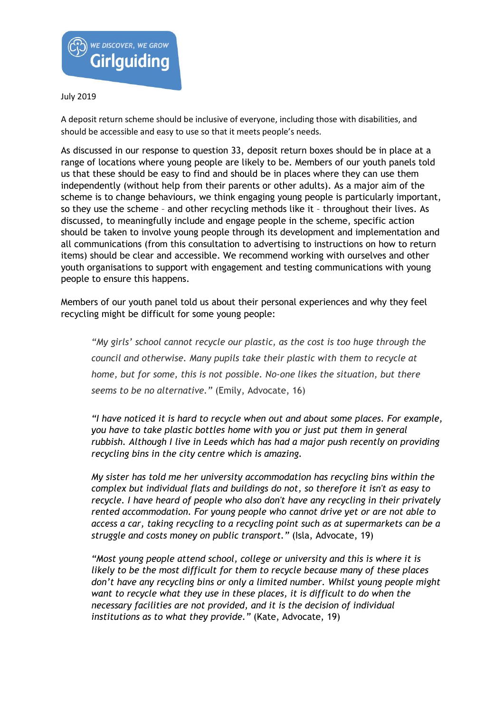

A deposit return scheme should be inclusive of everyone, including those with disabilities, and should be accessible and easy to use so that it meets people's needs.

As discussed in our response to question 33, deposit return boxes should be in place at a range of locations where young people are likely to be. Members of our youth panels told us that these should be easy to find and should be in places where they can use them independently (without help from their parents or other adults). As a major aim of the scheme is to change behaviours, we think engaging young people is particularly important, so they use the scheme – and other recycling methods like it – throughout their lives. As discussed, to meaningfully include and engage people in the scheme, specific action should be taken to involve young people through its development and implementation and all communications (from this consultation to advertising to instructions on how to return items) should be clear and accessible. We recommend working with ourselves and other youth organisations to support with engagement and testing communications with young people to ensure this happens.

Members of our youth panel told us about their personal experiences and why they feel recycling might be difficult for some young people:

*"My girls' school cannot recycle our plastic, as the cost is too huge through the council and otherwise. Many pupils take their plastic with them to recycle at home, but for some, this is not possible. No-one likes the situation, but there seems to be no alternative."* (Emily, Advocate, 16)

*"I have noticed it is hard to recycle when out and about some places. For example, you have to take plastic bottles home with you or just put them in general rubbish. Although I live in Leeds which has had a major push recently on providing recycling bins in the city centre which is amazing.*

*My sister has told me her university accommodation has recycling bins within the complex but individual flats and buildings do not, so therefore it isn't as easy to recycle. I have heard of people who also don't have any recycling in their privately rented accommodation. For young people who cannot drive yet or are not able to access a car, taking recycling to a recycling point such as at supermarkets can be a struggle and costs money on public transport."* (Isla, Advocate, 19)

*"Most young people attend school, college or university and this is where it is likely to be the most difficult for them to recycle because many of these places don't have any recycling bins or only a limited number. Whilst young people might want to recycle what they use in these places, it is difficult to do when the necessary facilities are not provided, and it is the decision of individual institutions as to what they provide."* (Kate, Advocate, 19)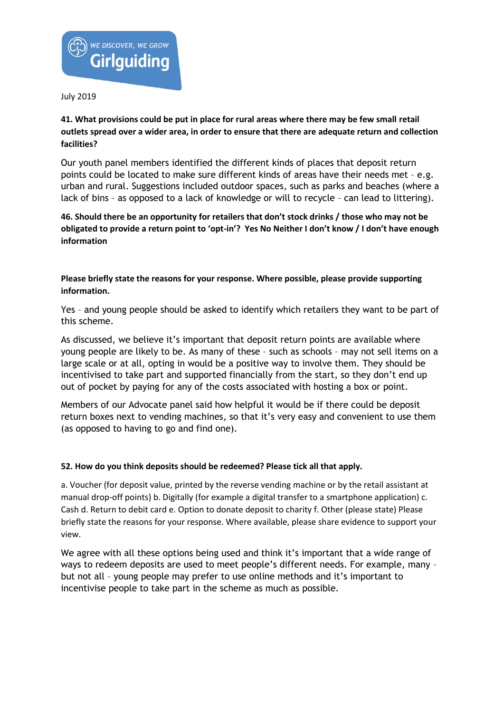

**41. What provisions could be put in place for rural areas where there may be few small retail outlets spread over a wider area, in order to ensure that there are adequate return and collection facilities?** 

Our youth panel members identified the different kinds of places that deposit return points could be located to make sure different kinds of areas have their needs met – e.g. urban and rural. Suggestions included outdoor spaces, such as parks and beaches (where a lack of bins – as opposed to a lack of knowledge or will to recycle – can lead to littering).

**46. Should there be an opportunity for retailers that don't stock drinks / those who may not be obligated to provide a return point to 'opt-in'? Yes No Neither I don't know / I don't have enough information** 

**Please briefly state the reasons for your response. Where possible, please provide supporting information.** 

Yes – and young people should be asked to identify which retailers they want to be part of this scheme.

As discussed, we believe it's important that deposit return points are available where young people are likely to be. As many of these – such as schools – may not sell items on a large scale or at all, opting in would be a positive way to involve them. They should be incentivised to take part and supported financially from the start, so they don't end up out of pocket by paying for any of the costs associated with hosting a box or point.

Members of our Advocate panel said how helpful it would be if there could be deposit return boxes next to vending machines, so that it's very easy and convenient to use them (as opposed to having to go and find one).

#### **52. How do you think deposits should be redeemed? Please tick all that apply.**

a. Voucher (for deposit value, printed by the reverse vending machine or by the retail assistant at manual drop-off points) b. Digitally (for example a digital transfer to a smartphone application) c. Cash d. Return to debit card e. Option to donate deposit to charity f. Other (please state) Please briefly state the reasons for your response. Where available, please share evidence to support your view.

We agree with all these options being used and think it's important that a wide range of ways to redeem deposits are used to meet people's different needs. For example, many – but not all – young people may prefer to use online methods and it's important to incentivise people to take part in the scheme as much as possible.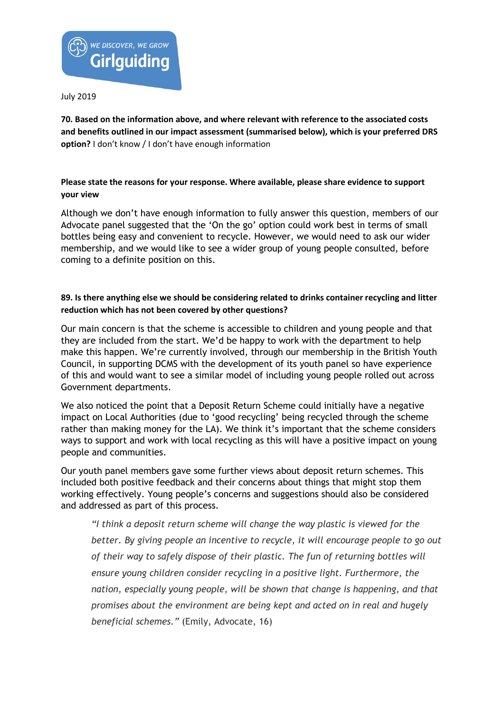

**70. Based on the information above, and where relevant with reference to the associated costs and benefits outlined in our impact assessment (summarised below), which is your preferred DRS option?** I don't know / I don't have enough information

# **Please state the reasons for your response. Where available, please share evidence to support your view**

Although we don't have enough information to fully answer this question, members of our Advocate panel suggested that the 'On the go' option could work best in terms of small bottles being easy and convenient to recycle. However, we would need to ask our wider membership, and we would like to see a wider group of young people consulted, before coming to a definite position on this.

## **89. Is there anything else we should be considering related to drinks container recycling and litter reduction which has not been covered by other questions?**

Our main concern is that the scheme is accessible to children and young people and that they are included from the start. We'd be happy to work with the department to help make this happen. We're currently involved, through our membership in the British Youth Council, in supporting DCMS with the development of its youth panel so have experience of this and would want to see a similar model of including young people rolled out across Government departments.

We also noticed the point that a Deposit Return Scheme could initially have a negative impact on Local Authorities (due to 'good recycling' being recycled through the scheme rather than making money for the LA). We think it's important that the scheme considers ways to support and work with local recycling as this will have a positive impact on young people and communities.

Our youth panel members gave some further views about deposit return schemes. This included both positive feedback and their concerns about things that might stop them working effectively. Young people's concerns and suggestions should also be considered and addressed as part of this process.

*"I think a deposit return scheme will change the way plastic is viewed for the better. By giving people an incentive to recycle, it will encourage people to go out of their way to safely dispose of their plastic. The fun of returning bottles will ensure young children consider recycling in a positive light. Furthermore, the nation, especially young people, will be shown that change is happening, and that promises about the environment are being kept and acted on in real and hugely beneficial schemes."* (Emily, Advocate, 16)